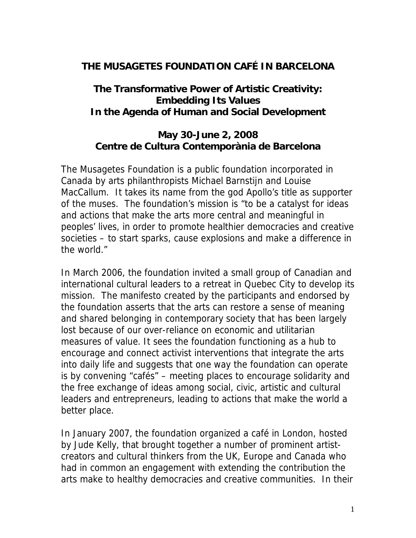### **THE MUSAGETES FOUNDATION CAFÉ IN BARCELONA**

**The Transformative Power of Artistic Creativity: Embedding Its Values In the Agenda of Human and Social Development**

**May 30-June 2, 2008 Centre de Cultura Contemporània de Barcelona** 

The Musagetes Foundation is a public foundation incorporated in Canada by arts philanthropists Michael Barnstijn and Louise MacCallum. It takes its name from the god Apollo's title as supporter of the muses. The foundation's mission is "to be a catalyst for ideas and actions that make the arts more central and meaningful in peoples' lives, in order to promote healthier democracies and creative societies – to start sparks, cause explosions and make a difference in the world."

In March 2006, the foundation invited a small group of Canadian and international cultural leaders to a retreat in Quebec City to develop its mission. The manifesto created by the participants and endorsed by the foundation asserts that the arts can restore a sense of meaning and shared belonging in contemporary society that has been largely lost because of our over-reliance on economic and utilitarian measures of value. It sees the foundation functioning as a hub to encourage and connect activist interventions that integrate the arts into daily life and suggests that one way the foundation can operate is by convening "cafés" – meeting places to encourage solidarity and the free exchange of ideas among social, civic, artistic and cultural leaders and entrepreneurs, leading to actions that make the world a better place.

In January 2007, the foundation organized a café in London, hosted by Jude Kelly, that brought together a number of prominent artistcreators and cultural thinkers from the UK, Europe and Canada who had in common an engagement with extending the contribution the arts make to healthy democracies and creative communities. In their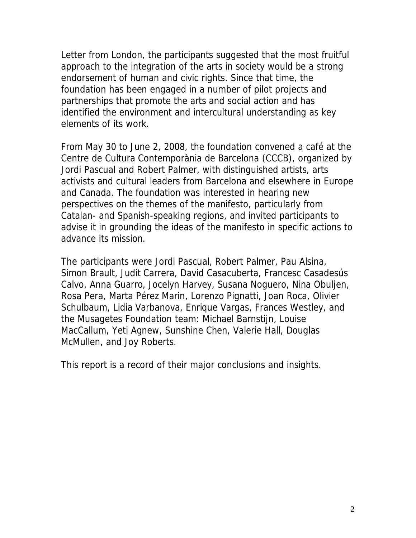Letter from London, the participants suggested that the most fruitful approach to the integration of the arts in society would be a strong endorsement of human and civic rights. Since that time, the foundation has been engaged in a number of pilot projects and partnerships that promote the arts and social action and has identified the environment and intercultural understanding as key elements of its work.

From May 30 to June 2, 2008, the foundation convened a café at the Centre de Cultura Contemporània de Barcelona (CCCB), organized by Jordi Pascual and Robert Palmer, with distinguished artists, arts activists and cultural leaders from Barcelona and elsewhere in Europe and Canada. The foundation was interested in hearing new perspectives on the themes of the manifesto, particularly from Catalan- and Spanish-speaking regions, and invited participants to advise it in grounding the ideas of the manifesto in specific actions to advance its mission.

The participants were Jordi Pascual, Robert Palmer, Pau Alsina, Simon Brault, Judit Carrera, David Casacuberta, Francesc Casadesús Calvo, Anna Guarro, Jocelyn Harvey, Susana Noguero, Nina Obuljen, Rosa Pera, Marta Pérez Marin, Lorenzo Pignatti, Joan Roca, Olivier Schulbaum, Lidia Varbanova, Enrique Vargas, Frances Westley, and the Musagetes Foundation team: Michael Barnstijn, Louise MacCallum, Yeti Agnew, Sunshine Chen, Valerie Hall, Douglas McMullen, and Joy Roberts.

This report is a record of their major conclusions and insights.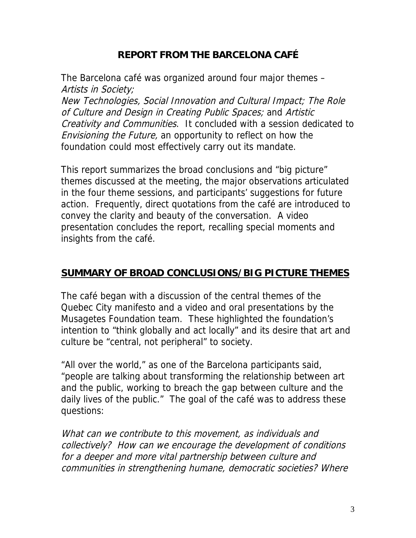## **REPORT FROM THE BARCELONA CAFÉ**

The Barcelona café was organized around four major themes – Artists in Society;

New Technologies, Social Innovation and Cultural Impact; The Role of Culture and Design in Creating Public Spaces; and Artistic Creativity and Communities. It concluded with a session dedicated to Envisioning the Future, an opportunity to reflect on how the foundation could most effectively carry out its mandate.

This report summarizes the broad conclusions and "big picture" themes discussed at the meeting, the major observations articulated in the four theme sessions, and participants' suggestions for future action. Frequently, direct quotations from the café are introduced to convey the clarity and beauty of the conversation. A video presentation concludes the report, recalling special moments and insights from the café.

#### **SUMMARY OF BROAD CONCLUSIONS/BIG PICTURE THEMES**

The café began with a discussion of the central themes of the Quebec City manifesto and a video and oral presentations by the Musagetes Foundation team. These highlighted the foundation's intention to "think globally and act locally" and its desire that art and culture be "central, not peripheral" to society.

"All over the world," as one of the Barcelona participants said, "people are talking about transforming the relationship between art and the public, working to breach the gap between culture and the daily lives of the public." The goal of the café was to address these questions:

What can we contribute to this movement, as individuals and collectively? How can we encourage the development of conditions for a deeper and more vital partnership between culture and communities in strengthening humane, democratic societies? Where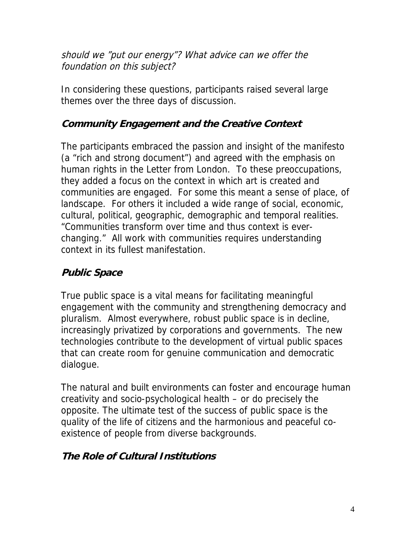should we "put our energy"? What advice can we offer the foundation on this subject?

In considering these questions, participants raised several large themes over the three days of discussion.

## **Community Engagement and the Creative Context**

The participants embraced the passion and insight of the manifesto (a "rich and strong document") and agreed with the emphasis on human rights in the Letter from London. To these preoccupations, they added a focus on the context in which art is created and communities are engaged. For some this meant a sense of place, of landscape. For others it included a wide range of social, economic, cultural, political, geographic, demographic and temporal realities. "Communities transform over time and thus context is everchanging." All work with communities requires understanding context in its fullest manifestation.

## **Public Space**

True public space is a vital means for facilitating meaningful engagement with the community and strengthening democracy and pluralism. Almost everywhere, robust public space is in decline, increasingly privatized by corporations and governments. The new technologies contribute to the development of virtual public spaces that can create room for genuine communication and democratic dialogue.

The natural and built environments can foster and encourage human creativity and socio-psychological health – or do precisely the opposite. The ultimate test of the success of public space is the quality of the life of citizens and the harmonious and peaceful coexistence of people from diverse backgrounds.

## **The Role of Cultural Institutions**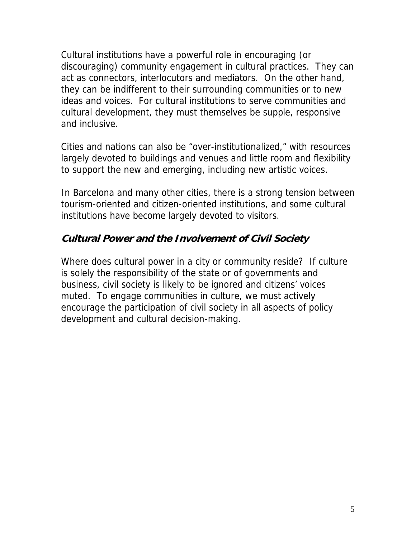Cultural institutions have a powerful role in encouraging (or discouraging) community engagement in cultural practices. They can act as connectors, interlocutors and mediators. On the other hand, they can be indifferent to their surrounding communities or to new ideas and voices. For cultural institutions to serve communities and cultural development, they must themselves be supple, responsive and inclusive.

Cities and nations can also be "over-institutionalized," with resources largely devoted to buildings and venues and little room and flexibility to support the new and emerging, including new artistic voices.

In Barcelona and many other cities, there is a strong tension between tourism-oriented and citizen-oriented institutions, and some cultural institutions have become largely devoted to visitors.

### **Cultural Power and the Involvement of Civil Society**

Where does cultural power in a city or community reside? If culture is solely the responsibility of the state or of governments and business, civil society is likely to be ignored and citizens' voices muted. To engage communities in culture, we must actively encourage the participation of civil society in all aspects of policy development and cultural decision-making.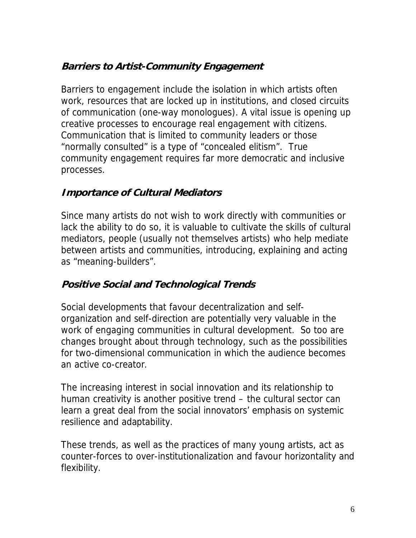# **Barriers to Artist-Community Engagement**

Barriers to engagement include the isolation in which artists often work, resources that are locked up in institutions, and closed circuits of communication (one-way monologues). A vital issue is opening up creative processes to encourage real engagement with citizens. Communication that is limited to community leaders or those "normally consulted" is a type of "concealed elitism". True community engagement requires far more democratic and inclusive processes.

### **Importance of Cultural Mediators**

Since many artists do not wish to work directly with communities or lack the ability to do so, it is valuable to cultivate the skills of cultural mediators, people (usually not themselves artists) who help mediate between artists and communities, introducing, explaining and acting as "meaning-builders".

## **Positive Social and Technological Trends**

Social developments that favour decentralization and selforganization and self-direction are potentially very valuable in the work of engaging communities in cultural development. So too are changes brought about through technology, such as the possibilities for two-dimensional communication in which the audience becomes an active co-creator.

The increasing interest in social innovation and its relationship to human creativity is another positive trend – the cultural sector can learn a great deal from the social innovators' emphasis on systemic resilience and adaptability.

These trends, as well as the practices of many young artists, act as counter-forces to over-institutionalization and favour horizontality and flexibility.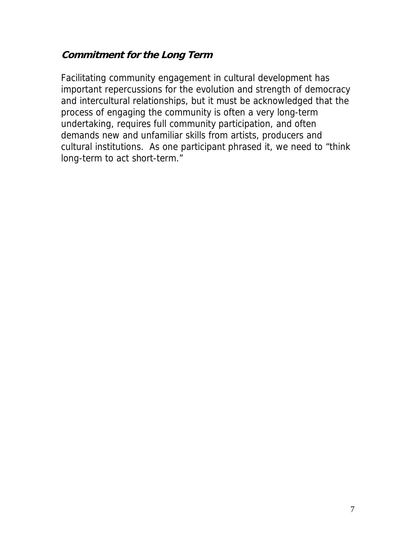#### **Commitment for the Long Term**

Facilitating community engagement in cultural development has important repercussions for the evolution and strength of democracy and intercultural relationships, but it must be acknowledged that the process of engaging the community is often a very long-term undertaking, requires full community participation, and often demands new and unfamiliar skills from artists, producers and cultural institutions. As one participant phrased it, we need to "think long-term to act short-term."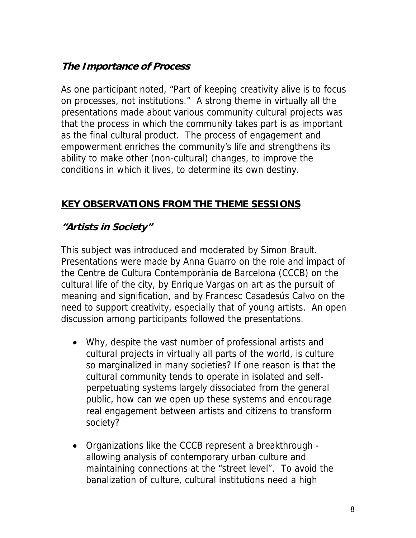## **The Importance of Process**

As one participant noted, "Part of keeping creativity alive is to focus on processes, not institutions." A strong theme in virtually all the presentations made about various community cultural projects was that the process in which the community takes part is as important as the final cultural product. The process of engagement and empowerment enriches the community's life and strengthens its ability to make other (non-cultural) changes, to improve the conditions in which it lives, to determine its own destiny.

### **KEY OBSERVATIONS FROM THE THEME SESSIONS**

## **"Artists in Society"**

This subject was introduced and moderated by Simon Brault. Presentations were made by Anna Guarro on the role and impact of the Centre de Cultura Contemporània de Barcelona (CCCB) on the cultural life of the city, by Enrique Vargas on art as the pursuit of meaning and signification, and by Francesc Casadesús Calvo on the need to support creativity, especially that of young artists. An open discussion among participants followed the presentations.

- Why, despite the vast number of professional artists and cultural projects in virtually all parts of the world, is culture so marginalized in many societies? If one reason is that the cultural community tends to operate in isolated and selfperpetuating systems largely dissociated from the general public, how can we open up these systems and encourage real engagement between artists and citizens to transform society?
- Organizations like the CCCB represent a breakthrough allowing analysis of contemporary urban culture and maintaining connections at the "street level". To avoid the banalization of culture, cultural institutions need a high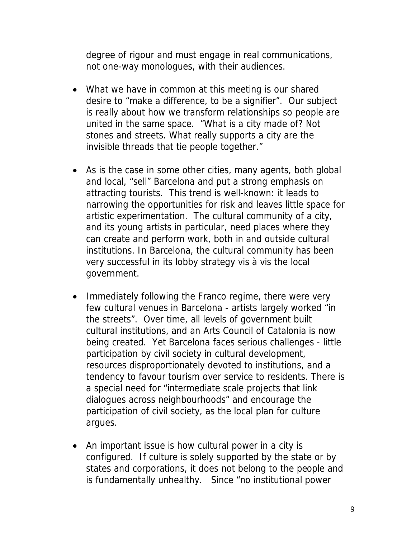degree of rigour and must engage in real communications, not one-way monologues, with their audiences.

- What we have in common at this meeting is our shared desire to "make a difference, to be a signifier". Our subject is really about how we transform relationships so people are united in the same space. "What is a city made of? Not stones and streets. What really supports a city are the invisible threads that tie people together."
- As is the case in some other cities, many agents, both global and local, "sell" Barcelona and put a strong emphasis on attracting tourists. This trend is well-known: it leads to narrowing the opportunities for risk and leaves little space for artistic experimentation. The cultural community of a city, and its young artists in particular, need places where they can create and perform work, both in and outside cultural institutions. In Barcelona, the cultural community has been very successful in its lobby strategy vis à vis the local government.
- Immediately following the Franco regime, there were very few cultural venues in Barcelona - artists largely worked "in the streets". Over time, all levels of government built cultural institutions, and an Arts Council of Catalonia is now being created. Yet Barcelona faces serious challenges - little participation by civil society in cultural development, resources disproportionately devoted to institutions, and a tendency to favour tourism over service to residents. There is a special need for "intermediate scale projects that link dialogues across neighbourhoods" and encourage the participation of civil society, as the local plan for culture argues.
- An important issue is how cultural power in a city is configured. If culture is solely supported by the state or by states and corporations, it does not belong to the people and is fundamentally unhealthy. Since "no institutional power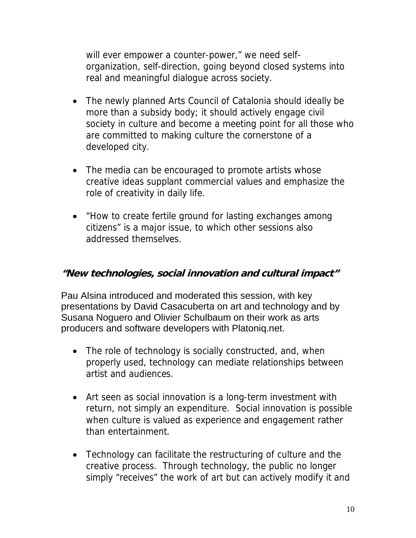will ever empower a counter-power," we need selforganization, self-direction, going beyond closed systems into real and meaningful dialogue across society.

- The newly planned Arts Council of Catalonia should ideally be more than a subsidy body; it should actively engage civil society in culture and become a meeting point for all those who are committed to making culture the cornerstone of a developed city.
- The media can be encouraged to promote artists whose creative ideas supplant commercial values and emphasize the role of creativity in daily life.
- "How to create fertile ground for lasting exchanges among citizens" is a major issue, to which other sessions also addressed themselves.

#### **"New technologies, social innovation and cultural impact"**

Pau Alsina introduced and moderated this session, with key presentations by David Casacuberta on art and technology and by Susana Noguero and Olivier Schulbaum on their work as arts producers and software developers with Platoniq.net.

- The role of technology is socially constructed, and, when properly used, technology can mediate relationships between artist and audiences.
- Art seen as social innovation is a long-term investment with return, not simply an expenditure. Social innovation is possible when culture is valued as experience and engagement rather than entertainment.
- Technology can facilitate the restructuring of culture and the creative process. Through technology, the public no longer simply "receives" the work of art but can actively modify it and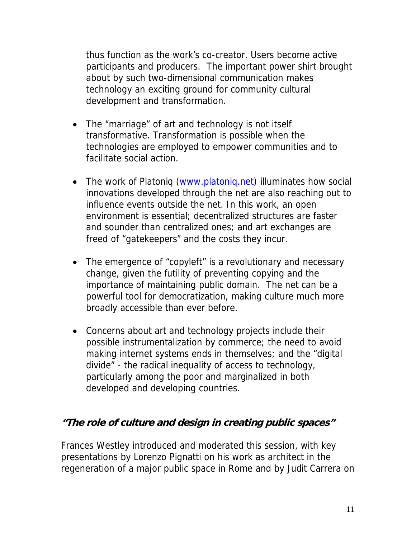thus function as the work's co-creator. Users become active participants and producers. The important power shirt brought about by such two-dimensional communication makes technology an exciting ground for community cultural development and transformation.

- The "marriage" of art and technology is not itself transformative. Transformation is possible when the technologies are employed to empower communities and to facilitate social action.
- The work of Platoniq (www.platoniq.net) illuminates how social innovations developed through the net are also reaching out to influence events outside the net. In this work, an open environment is essential; decentralized structures are faster and sounder than centralized ones; and art exchanges are freed of "gatekeepers" and the costs they incur.
- The emergence of "copyleft" is a revolutionary and necessary change, given the futility of preventing copying and the importance of maintaining public domain. The net can be a powerful tool for democratization, making culture much more broadly accessible than ever before.
- Concerns about art and technology projects include their possible instrumentalization by commerce; the need to avoid making internet systems ends in themselves; and the "digital divide" - the radical inequality of access to technology, particularly among the poor and marginalized in both developed and developing countries.

#### **"The role of culture and design in creating public spaces"**

Frances Westley introduced and moderated this session, with key presentations by Lorenzo Pignatti on his work as architect in the regeneration of a major public space in Rome and by Judit Carrera on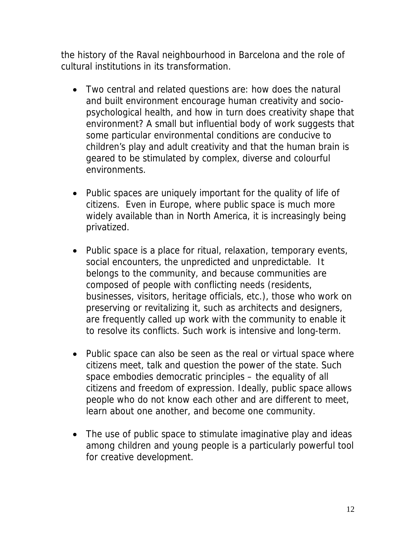the history of the Raval neighbourhood in Barcelona and the role of cultural institutions in its transformation.

- Two central and related questions are: how does the natural and built environment encourage human creativity and sociopsychological health, and how in turn does creativity shape that environment? A small but influential body of work suggests that some particular environmental conditions are conducive to children's play and adult creativity and that the human brain is geared to be stimulated by complex, diverse and colourful environments.
- Public spaces are uniquely important for the quality of life of citizens. Even in Europe, where public space is much more widely available than in North America, it is increasingly being privatized.
- Public space is a place for ritual, relaxation, temporary events, social encounters, the unpredicted and unpredictable. It belongs to the community, and because communities are composed of people with conflicting needs (residents, businesses, visitors, heritage officials, etc.), those who work on preserving or revitalizing it, such as architects and designers, are frequently called up work with the community to enable it to resolve its conflicts. Such work is intensive and long-term.
- Public space can also be seen as the real or virtual space where citizens meet, talk and question the power of the state. Such space embodies democratic principles – the equality of all citizens and freedom of expression. Ideally, public space allows people who do not know each other and are different to meet, learn about one another, and become one community.
- The use of public space to stimulate imaginative play and ideas among children and young people is a particularly powerful tool for creative development.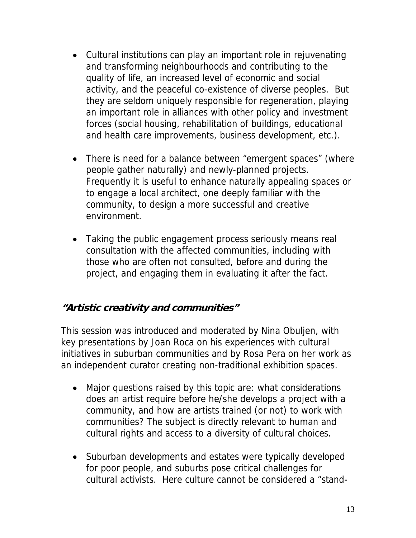- Cultural institutions can play an important role in rejuvenating and transforming neighbourhoods and contributing to the quality of life, an increased level of economic and social activity, and the peaceful co-existence of diverse peoples. But they are seldom uniquely responsible for regeneration, playing an important role in alliances with other policy and investment forces (social housing, rehabilitation of buildings, educational and health care improvements, business development, etc.).
- There is need for a balance between "emergent spaces" (where people gather naturally) and newly-planned projects. Frequently it is useful to enhance naturally appealing spaces or to engage a local architect, one deeply familiar with the community, to design a more successful and creative environment.
- Taking the public engagement process seriously means real consultation with the affected communities, including with those who are often not consulted, before and during the project, and engaging them in evaluating it after the fact.

## **"Artistic creativity and communities"**

This session was introduced and moderated by Nina Obuljen, with key presentations by Joan Roca on his experiences with cultural initiatives in suburban communities and by Rosa Pera on her work as an independent curator creating non-traditional exhibition spaces.

- Major questions raised by this topic are: what considerations does an artist require before he/she develops a project with a community, and how are artists trained (or not) to work with communities? The subject is directly relevant to human and cultural rights and access to a diversity of cultural choices.
- Suburban developments and estates were typically developed for poor people, and suburbs pose critical challenges for cultural activists. Here culture cannot be considered a "stand-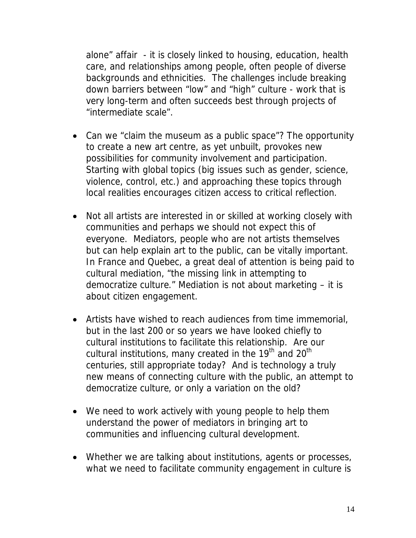alone" affair - it is closely linked to housing, education, health care, and relationships among people, often people of diverse backgrounds and ethnicities. The challenges include breaking down barriers between "low" and "high" culture - work that is very long-term and often succeeds best through projects of "intermediate scale".

- Can we "claim the museum as a public space"? The opportunity to create a new art centre, as yet unbuilt, provokes new possibilities for community involvement and participation. Starting with global topics (big issues such as gender, science, violence, control, etc.) and approaching these topics through local realities encourages citizen access to critical reflection.
- Not all artists are interested in or skilled at working closely with communities and perhaps we should not expect this of everyone. Mediators, people who are not artists themselves but can help explain art to the public, can be vitally important. In France and Quebec, a great deal of attention is being paid to cultural mediation, "the missing link in attempting to democratize culture." Mediation is not about marketing – it is about citizen engagement.
- Artists have wished to reach audiences from time immemorial, but in the last 200 or so years we have looked chiefly to cultural institutions to facilitate this relationship. Are our cultural institutions, many created in the  $19<sup>th</sup>$  and  $20<sup>th</sup>$ centuries, still appropriate today? And is technology a truly new means of connecting culture with the public, an attempt to democratize culture, or only a variation on the old?
- We need to work actively with young people to help them understand the power of mediators in bringing art to communities and influencing cultural development.
- Whether we are talking about institutions, agents or processes, what we need to facilitate community engagement in culture is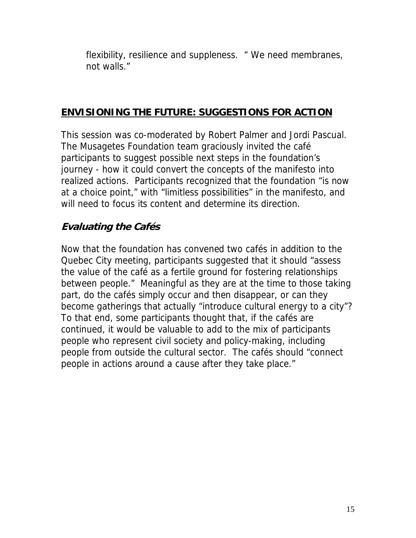flexibility, resilience and suppleness. " We need membranes, not walls."

#### **ENVISIONING THE FUTURE: SUGGESTIONS FOR ACTION**

This session was co-moderated by Robert Palmer and Jordi Pascual. The Musagetes Foundation team graciously invited the café participants to suggest possible next steps in the foundation's journey - how it could convert the concepts of the manifesto into realized actions. Participants recognized that the foundation "is now at a choice point," with "limitless possibilities" in the manifesto, and will need to focus its content and determine its direction.

### **Evaluating the Cafés**

Now that the foundation has convened two cafés in addition to the Quebec City meeting, participants suggested that it should "assess the value of the café as a fertile ground for fostering relationships between people." Meaningful as they are at the time to those taking part, do the cafés simply occur and then disappear, or can they become gatherings that actually "introduce cultural energy to a city"? To that end, some participants thought that, if the cafés are continued, it would be valuable to add to the mix of participants people who represent civil society and policy-making, including people from outside the cultural sector. The cafés should "connect people in actions around a cause after they take place."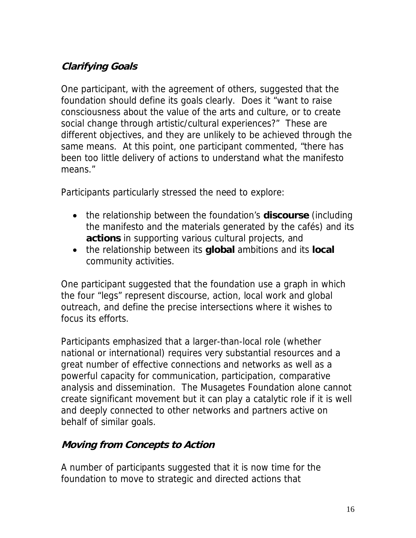# **Clarifying Goals**

One participant, with the agreement of others, suggested that the foundation should define its goals clearly. Does it "want to raise consciousness about the value of the arts and culture, or to create social change through artistic/cultural experiences?" These are different objectives, and they are unlikely to be achieved through the same means. At this point, one participant commented, "there has been too little delivery of actions to understand what the manifesto means."

Participants particularly stressed the need to explore:

- the relationship between the foundation's **discourse** (including the manifesto and the materials generated by the cafés) and its **actions** in supporting various cultural projects, and
- the relationship between its **global** ambitions and its **local** community activities.

One participant suggested that the foundation use a graph in which the four "legs" represent discourse, action, local work and global outreach, and define the precise intersections where it wishes to focus its efforts.

Participants emphasized that a larger-than-local role (whether national or international) requires very substantial resources and a great number of effective connections and networks as well as a powerful capacity for communication, participation, comparative analysis and dissemination. The Musagetes Foundation alone cannot create significant movement but it can play a catalytic role if it is well and deeply connected to other networks and partners active on behalf of similar goals.

#### **Moving from Concepts to Action**

A number of participants suggested that it is now time for the foundation to move to strategic and directed actions that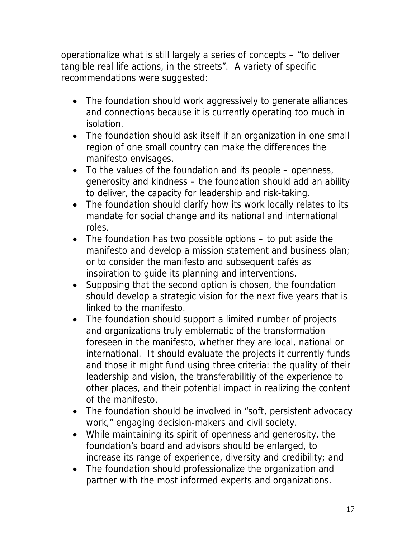operationalize what is still largely a series of concepts – "to deliver tangible real life actions, in the streets". A variety of specific recommendations were suggested:

- The foundation should work aggressively to generate alliances and connections because it is currently operating too much in isolation.
- The foundation should ask itself if an organization in one small region of one small country can make the differences the manifesto envisages.
- To the values of the foundation and its people openness, generosity and kindness – the foundation should add an ability to deliver, the capacity for leadership and risk-taking.
- The foundation should clarify how its work locally relates to its mandate for social change and its national and international roles.
- The foundation has two possible options to put aside the manifesto and develop a mission statement and business plan; or to consider the manifesto and subsequent cafés as inspiration to guide its planning and interventions.
- Supposing that the second option is chosen, the foundation should develop a strategic vision for the next five years that is linked to the manifesto.
- The foundation should support a limited number of projects and organizations truly emblematic of the transformation foreseen in the manifesto, whether they are local, national or international. It should evaluate the projects it currently funds and those it might fund using three criteria: the quality of their leadership and vision, the transferabilitiy of the experience to other places, and their potential impact in realizing the content of the manifesto.
- The foundation should be involved in "soft, persistent advocacy work," engaging decision-makers and civil society.
- While maintaining its spirit of openness and generosity, the foundation's board and advisors should be enlarged, to increase its range of experience, diversity and credibility; and
- The foundation should professionalize the organization and partner with the most informed experts and organizations.